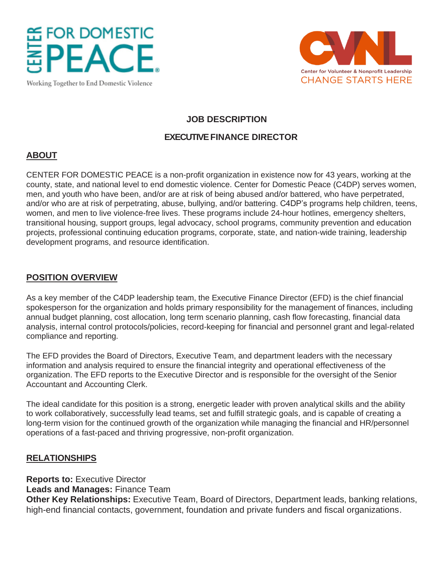# **FOR DOMESTIC**

Working Together to End Domestic Violence



# **JOB DESCRIPTION**

#### **EXECUTIVE FINANCE DIRECTOR**

## **ABOUT**

CENTER FOR DOMESTIC PEACE is a non-profit organization in existence now for 43 years, working at the county, state, and national level to end domestic violence. Center for Domestic Peace (C4DP) serves women, men, and youth who have been, and/or are at risk of being abused and/or battered, who have perpetrated, and/or who are at risk of perpetrating, abuse, bullying, and/or battering. C4DP's programs help children, teens, women, and men to live violence-free lives. These programs include 24-hour hotlines, emergency shelters, transitional housing, support groups, legal advocacy, school programs, community prevention and education projects, professional continuing education programs, corporate, state, and nation-wide training, leadership development programs, and resource identification.

## **POSITION OVERVIEW**

As a key member of the C4DP leadership team, the Executive Finance Director (EFD) is the chief financial spokesperson for the organization and holds primary responsibility for the management of finances, including annual budget planning, cost allocation, long term scenario planning, cash flow forecasting, financial data analysis, internal control protocols/policies, record-keeping for financial and personnel grant and legal-related compliance and reporting.

The EFD provides the Board of Directors, Executive Team, and department leaders with the necessary information and analysis required to ensure the financial integrity and operational effectiveness of the organization. The EFD reports to the Executive Director and is responsible for the oversight of the Senior Accountant and Accounting Clerk.

The ideal candidate for this position is a strong, energetic leader with proven analytical skills and the ability to work collaboratively, successfully lead teams, set and fulfill strategic goals, and is capable of creating a long-term vision for the continued growth of the organization while managing the financial and HR/personnel operations of a fast-paced and thriving progressive, non-profit organization.

#### **RELATIONSHIPS**

**Reports to:** Executive Director

**Leads and Manages:** Finance Team

**Other Key Relationships:** Executive Team, Board of Directors, Department leads, banking relations, high-end financial contacts, government, foundation and private funders and fiscal organizations.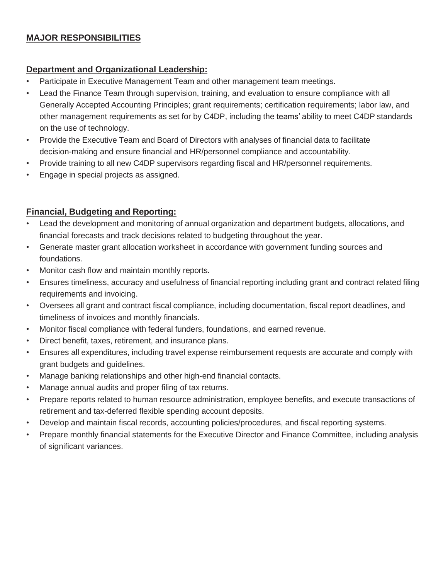# **MAJOR RESPONSIBILITIES**

## **Department and Organizational Leadership:**

- Participate in Executive Management Team and other management team meetings.
- Lead the Finance Team through supervision, training, and evaluation to ensure compliance with all Generally Accepted Accounting Principles; grant requirements; certification requirements; labor law, and other management requirements as set for by C4DP, including the teams' ability to meet C4DP standards on the use of technology.
- Provide the Executive Team and Board of Directors with analyses of financial data to facilitate decision-making and ensure financial and HR/personnel compliance and accountability.
- Provide training to all new C4DP supervisors regarding fiscal and HR/personnel requirements.
- Engage in special projects as assigned.

## **Financial, Budgeting and Reporting:**

- Lead the development and monitoring of annual organization and department budgets, allocations, and financial forecasts and track decisions related to budgeting throughout the year.
- Generate master grant allocation worksheet in accordance with government funding sources and foundations.
- Monitor cash flow and maintain monthly reports.
- Ensures timeliness, accuracy and usefulness of financial reporting including grant and contract related filing requirements and invoicing.
- Oversees all grant and contract fiscal compliance, including documentation, fiscal report deadlines, and timeliness of invoices and monthly financials.
- Monitor fiscal compliance with federal funders, foundations, and earned revenue.
- Direct benefit, taxes, retirement, and insurance plans.
- Ensures all expenditures, including travel expense reimbursement requests are accurate and comply with grant budgets and guidelines.
- Manage banking relationships and other high-end financial contacts.
- Manage annual audits and proper filing of tax returns.
- Prepare reports related to human resource administration, employee benefits, and execute transactions of retirement and tax-deferred flexible spending account deposits.
- Develop and maintain fiscal records, accounting policies/procedures, and fiscal reporting systems.
- Prepare monthly financial statements for the Executive Director and Finance Committee, including analysis of significant variances.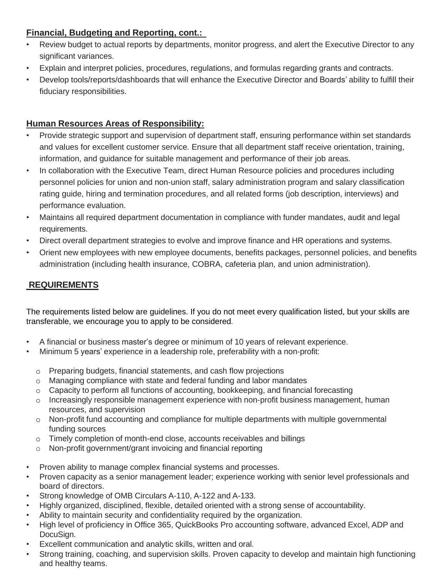# **Financial, Budgeting and Reporting, cont.:**

- Review budget to actual reports by departments, monitor progress, and alert the Executive Director to any significant variances.
- Explain and interpret policies, procedures, regulations, and formulas regarding grants and contracts.
- Develop tools/reports/dashboards that will enhance the Executive Director and Boards' ability to fulfill their fiduciary responsibilities.

# **Human Resources Areas of Responsibility:**

- Provide strategic support and supervision of department staff, ensuring performance within set standards and values for excellent customer service. Ensure that all department staff receive orientation, training, information, and guidance for suitable management and performance of their job areas.
- In collaboration with the Executive Team, direct Human Resource policies and procedures including personnel policies for union and non-union staff, salary administration program and salary classification rating guide, hiring and termination procedures, and all related forms (job description, interviews) and performance evaluation.
- Maintains all required department documentation in compliance with funder mandates, audit and legal requirements.
- Direct overall department strategies to evolve and improve finance and HR operations and systems.
- Orient new employees with new employee documents, benefits packages, personnel policies, and benefits administration (including health insurance, COBRA, cafeteria plan, and union administration).

# **REQUIREMENTS**

The requirements listed below are guidelines. If you do not meet every qualification listed, but your skills are transferable, we encourage you to apply to be considered.

- A financial or business master's degree or minimum of 10 years of relevant experience.
- Minimum 5 years' experience in a leadership role, preferability with a non-profit:
	- o Preparing budgets, financial statements, and cash flow projections
	- o Managing compliance with state and federal funding and labor mandates
	- o Capacity to perform all functions of accounting, bookkeeping, and financial forecasting
	- o Increasingly responsible management experience with non-profit business management, human resources, and supervision
	- o Non-profit fund accounting and compliance for multiple departments with multiple governmental funding sources
	- o Timely completion of month-end close, accounts receivables and billings
	- o Non-profit government/grant invoicing and financial reporting
- Proven ability to manage complex financial systems and processes.
- Proven capacity as a senior management leader; experience working with senior level professionals and board of directors.
- Strong knowledge of OMB Circulars A-110, A-122 and A-133.
- Highly organized, disciplined, flexible, detailed oriented with a strong sense of accountability.
- Ability to maintain security and confidentiality required by the organization.
- High level of proficiency in Office 365, QuickBooks Pro accounting software, advanced Excel, ADP and DocuSign.
- Excellent communication and analytic skills, written and oral.
- Strong training, coaching, and supervision skills. Proven capacity to develop and maintain high functioning and healthy teams.